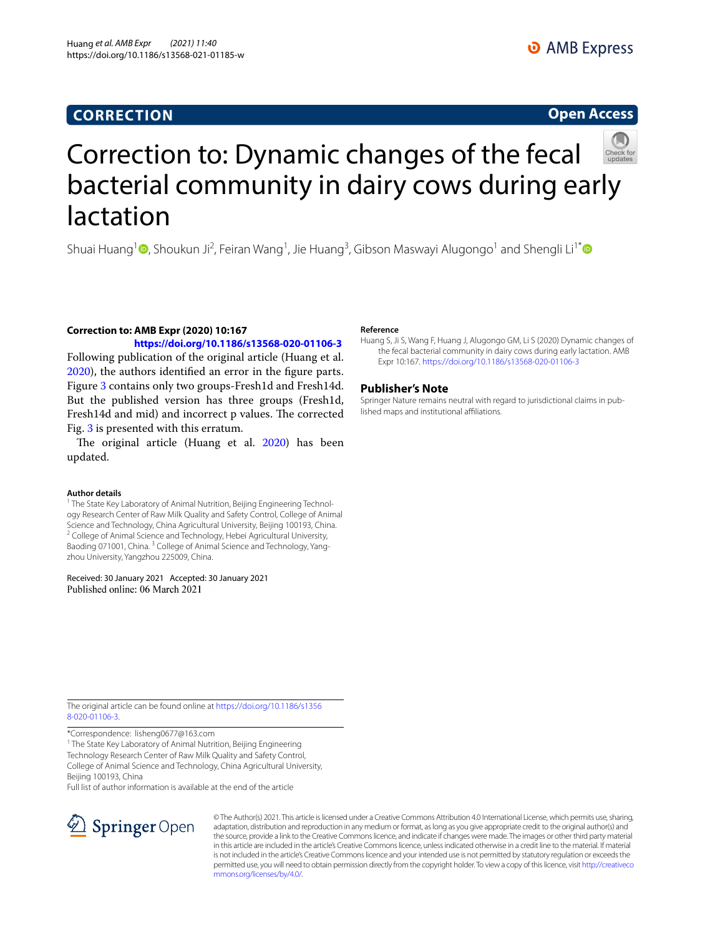## **CORRECTION**

### **Open Access**



# Correction to: Dynamic changes of the fecal bacterial community in dairy cows during early lactation

Shuai Huang<sup>[1](http://orcid.org/0000-0002-6576-8542)</sup> <sup>O</sup>, Shoukun Ji<sup>2</sup>, Feiran Wang<sup>1</sup>, Jie Huang<sup>3</sup>, Gibson Maswayi Alugongo<sup>1</sup> and Shengli Li<sup>1[\\*](http://orcid.org/0000-0002-8494-7474)</sup>

**Correction to: AMB Expr (2020) 10:167 <https://doi.org/10.1186/s13568-020-01106-3>**

Following publication of the original article (Huang et al. [2020](#page-0-0)), the authors identifed an error in the fgure parts. Figure [3](#page-1-0) contains only two groups-Fresh1d and Fresh14d. But the published version has three groups (Fresh1d, Fresh14d and mid) and incorrect p values. The corrected Fig. [3](#page-1-0) is presented with this erratum.

The original article (Huang et al. [2020](#page-0-0)) has been updated.

#### **Author details**

<sup>1</sup> The State Key Laboratory of Animal Nutrition, Beijing Engineering Technology Research Center of Raw Milk Quality and Safety Control, College of Animal Science and Technology, China Agricultural University, Beijing 100193, China.<br><sup>2</sup> College of Animal Science and Technology, Hebei Agricultural University, Baoding 071001, China.<sup>3</sup> College of Animal Science and Technology, Yangzhou University, Yangzhou 225009, China.

Received: 30 January 2021 Accepted: 30 January 2021 Published online: 06 March 2021

#### **Reference**

<span id="page-0-0"></span>Huang S, Ji S, Wang F, Huang J, Alugongo GM, Li S (2020) Dynamic changes of the fecal bacterial community in dairy cows during early lactation. AMB Expr 10:167. <https://doi.org/10.1186/s13568-020-01106-3>

#### **Publisher's Note**

Springer Nature remains neutral with regard to jurisdictional claims in published maps and institutional afliations.

The original article can be found online at [https://doi.org/10.1186/s1356](https://doi.org/10.1186/s13568-020-01106-3) [8-020-01106-3.](https://doi.org/10.1186/s13568-020-01106-3)

\*Correspondence: lisheng0677@163.com

<sup>1</sup> The State Key Laboratory of Animal Nutrition, Beijing Engineering Technology Research Center of Raw Milk Quality and Safety Control, College of Animal Science and Technology, China Agricultural University, Beijing 100193, China

Full list of author information is available at the end of the article



© The Author(s) 2021. This article is licensed under a Creative Commons Attribution 4.0 International License, which permits use, sharing, adaptation, distribution and reproduction in any medium or format, as long as you give appropriate credit to the original author(s) and the source, provide a link to the Creative Commons licence, and indicate if changes were made. The images or other third party material in this article are included in the article's Creative Commons licence, unless indicated otherwise in a credit line to the material. If material is not included in the article's Creative Commons licence and your intended use is not permitted by statutory regulation or exceeds the permitted use, you will need to obtain permission directly from the copyright holder. To view a copy of this licence, visit [http://creativeco](http://creativecommons.org/licenses/by/4.0/) [mmons.org/licenses/by/4.0/.](http://creativecommons.org/licenses/by/4.0/)